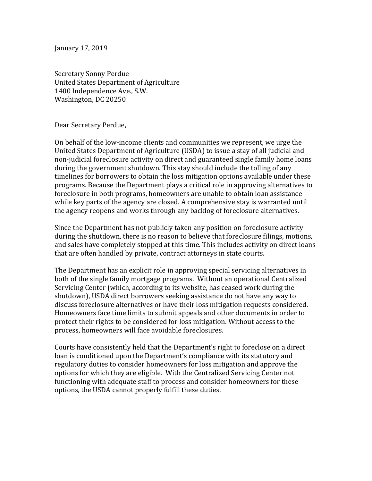January 17, 2019

Secretary Sonny Perdue United States Department of Agriculture 1400 Independence Ave., S.W. Washington, DC 20250

Dear Secretary Perdue,

On behalf of the low-income clients and communities we represent, we urge the United States Department of Agriculture (USDA) to issue a stay of all judicial and non-judicial foreclosure activity on direct and guaranteed single family home loans during the government shutdown. This stay should include the tolling of any timelines for borrowers to obtain the loss mitigation options available under these programs. Because the Department plays a critical role in approving alternatives to foreclosure in both programs, homeowners are unable to obtain loan assistance while key parts of the agency are closed. A comprehensive stay is warranted until the agency reopens and works through any backlog of foreclosure alternatives.

Since the Department has not publicly taken any position on foreclosure activity during the shutdown, there is no reason to believe that foreclosure filings, motions, and sales have completely stopped at this time. This includes activity on direct loans that are often handled by private, contract attorneys in state courts.

The Department has an explicit role in approving special servicing alternatives in both of the single family mortgage programs. Without an operational Centralized Servicing Center (which, according to its website, has ceased work during the shutdown), USDA direct borrowers seeking assistance do not have any way to discuss foreclosure alternatives or have their loss mitigation requests considered. Homeowners face time limits to submit appeals and other documents in order to protect their rights to be considered for loss mitigation. Without access to the process, homeowners will face avoidable foreclosures.

Courts have consistently held that the Department's right to foreclose on a direct loan is conditioned upon the Department's compliance with its statutory and regulatory duties to consider homeowners for loss mitigation and approve the options for which they are eligible. With the Centralized Servicing Center not functioning with adequate staff to process and consider homeowners for these options, the USDA cannot properly fulfill these duties.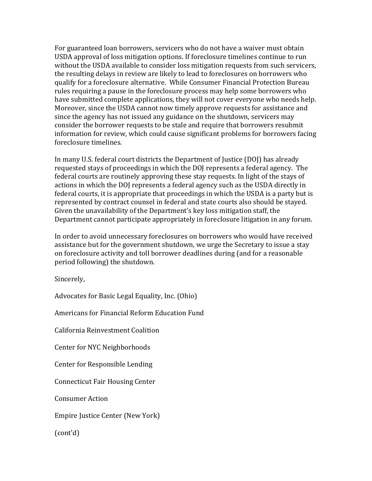For guaranteed loan borrowers, servicers who do not have a waiver must obtain USDA approval of loss mitigation options. If foreclosure timelines continue to run without the USDA available to consider loss mitigation requests from such servicers, the resulting delays in review are likely to lead to foreclosures on borrowers who qualify for a foreclosure alternative. While Consumer Financial Protection Bureau rules requiring a pause in the foreclosure process may help some borrowers who have submitted complete applications, they will not cover everyone who needs help. Moreover, since the USDA cannot now timely approve requests for assistance and since the agency has not issued any guidance on the shutdown, servicers may consider the borrower requests to be stale and require that borrowers resubmit information for review, which could cause significant problems for borrowers facing foreclosure timelines.

In many U.S. federal court districts the Department of Justice (DOJ) has already requested stays of proceedings in which the DOJ represents a federal agency. The federal courts are routinely approving these stay requests. In light of the stays of actions in which the DOJ represents a federal agency such as the USDA directly in federal courts, it is appropriate that proceedings in which the USDA is a party but is represented by contract counsel in federal and state courts also should be stayed. Given the unavailability of the Department's key loss mitigation staff, the Department cannot participate appropriately in foreclosure litigation in any forum.

In order to avoid unnecessary foreclosures on borrowers who would have received assistance but for the government shutdown, we urge the Secretary to issue a stay on foreclosure activity and toll borrower deadlines during (and for a reasonable period following) the shutdown.

Sincerely,

Advocates for Basic Legal Equality, Inc. (Ohio)

Americans for Financial Reform Education Fund

California Reinvestment Coalition

Center for NYC Neighborhoods

Center for Responsible Lending

Connecticut Fair Housing Center

Consumer Action

Empire Justice Center (New York)

(cont'd)